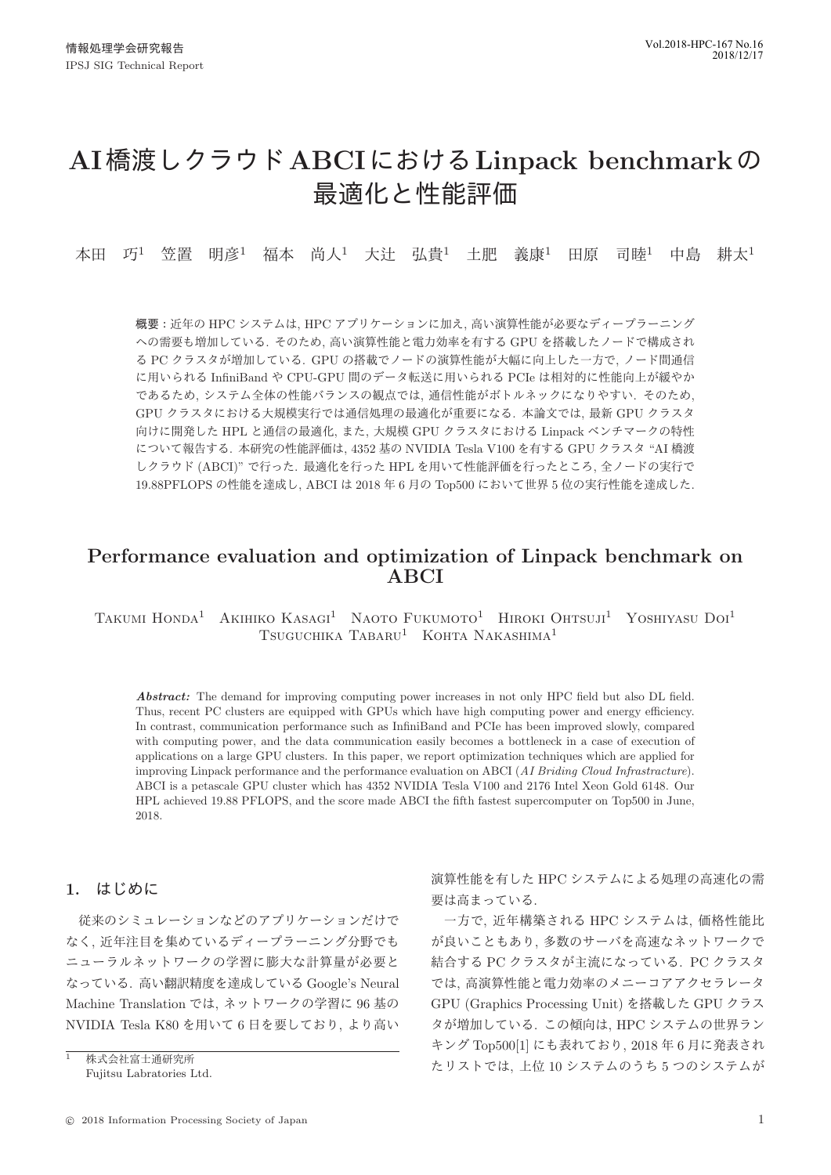# **AI橋渡しクラウド ABCIにおける Linpack benchmarkの** 最適化と性能評価

本田 巧<sup>1</sup> 笠置 明彦<sup>1</sup> 福本 尚人<sup>1</sup> 大辻 弘貴<sup>1</sup> 土肥 義康<sup>1</sup> 田原 司睦<sup>1</sup> 中島 耕太<sup>1</sup>

概要:近年の HPC システムは, HPC アプリケーションに加え, 高い演算性能が必要なディープラーニング への需要も増加している. そのため、高い演算性能と電力効率を有する GPU を搭載したノードで構成され る PC クラスタが増加している. GPU の搭載でノードの演算性能が大幅に向上した一方で、ノード間通信 に用いられる InfiniBand や CPU-GPU 間のデータ転送に用いられる PCIe は相対的に性能向上が緩やか であるため、システム全体の性能バランスの観点では、通信性能がボトルネックになりやすい、そのため、 GPU クラスタにおける大規模実行では通信処理の最適化が重要になる. 本論文では、最新 GPU クラスタ 向けに開発した HPL と通信の最適化、また、大規模 GPU クラスタにおける Linpack ベンチマークの特性 について報告する. 本研究の性能評価は, 4352 基の NVIDIA Tesla V100 を有する GPU クラスタ "AI 橋渡 しクラウド (ABCI)" で行った. 最適化を行った HPL を用いて性能評価を行ったところ、全ノードの実行で 19.88PFLOPS の性能を達成し, ABCI は 2018 年 6 月の Top500 において世界 5 位の実行性能を達成した.

# **Performance evaluation and optimization of Linpack benchmark on ABCI**

TAKUMI HONDA<sup>1</sup> AKIHIKO KASAGI<sup>1</sup> NAOTO FUKUMOTO<sup>1</sup> HIROKI OHTSUJI<sup>1</sup> YOSHIYASU DOI<sup>1</sup> Tsuguchika Tabaru<sup>1</sup> Kohta Nakashima<sup>1</sup>

*Abstract:* The demand for improving computing power increases in not only HPC field but also DL field. Thus, recent PC clusters are equipped with GPUs which have high computing power and energy efficiency. In contrast, communication performance such as InfiniBand and PCIe has been improved slowly, compared with computing power, and the data communication easily becomes a bottleneck in a case of execution of applications on a large GPU clusters. In this paper, we report optimization techniques which are applied for improving Linpack performance and the performance evaluation on ABCI (AI Briding Cloud Infrastracture). ABCI is a petascale GPU cluster which has 4352 NVIDIA Tesla V100 and 2176 Intel Xeon Gold 6148. Our HPL achieved 19.88 PFLOPS, and the score made ABCI the fifth fastest supercomputer on Top500 in June, 2018.

# 1. はじめに

従来のシミュレーションなどのアプリケーションだけで なく、近年注目を集めているディープラーニング分野でも ニューラルネットワークの学習に膨大な計算量が必要と なっている. 高い翻訳精度を達成している Google's Neural Machine Translation では、ネットワークの学習に 96 基の NVIDIA Tesla K80 を用いて6日を要しており、より高い

演算性能を有した HPC システムによる処理の高速化の需 要は高まっている.

一方で、近年構築される HPC システムは、価格性能比 が良いこともあり、多数のサーバを高速なネットワークで 結合する PC クラスタが主流になっている. PC クラスタ では、高演算性能と電力効率のメニーコアアクセラレータ GPU (Graphics Processing Unit) を搭載した GPU クラス タが増加している. この傾向は、HPC システムの世界ラン キング Top500[1] にも表れており, 2018年6月に発表され たリストでは、上位10システムのうち5つのシステムが

株式会社富士通研究所 Fujitsu Labratories Ltd.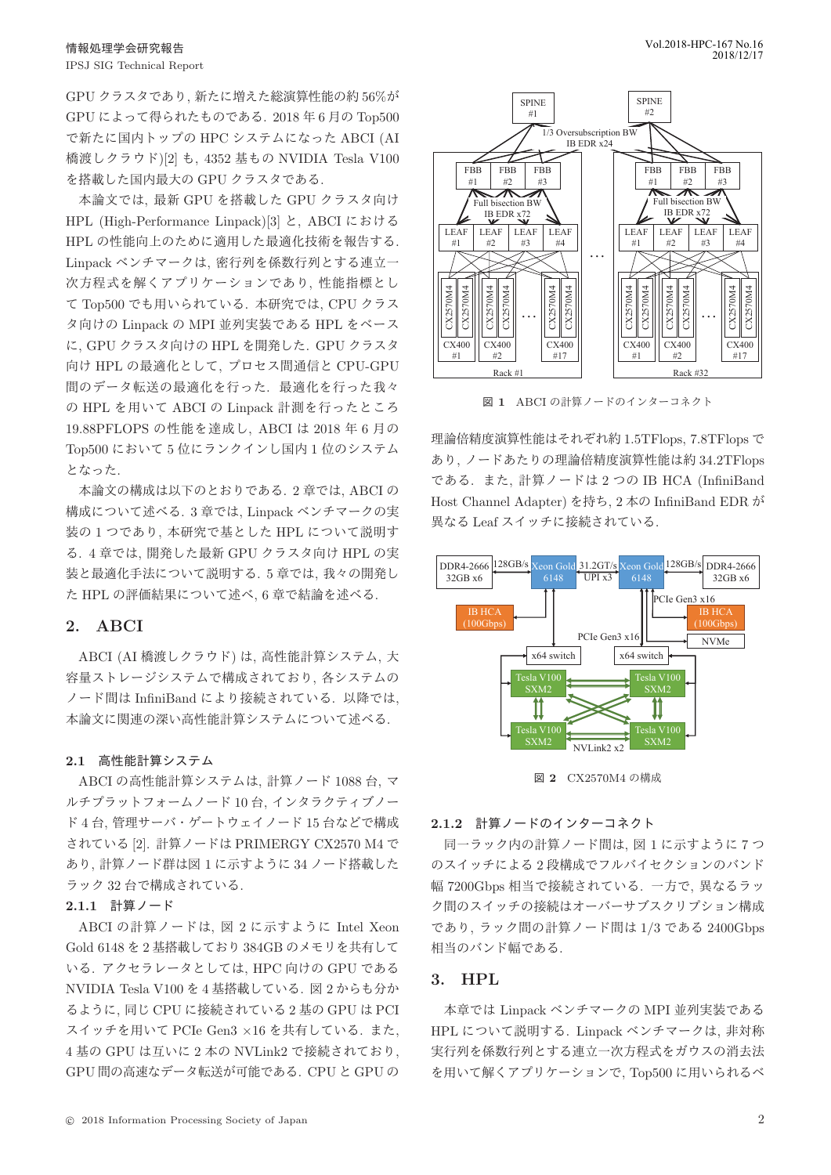GPU クラスタであり、新たに増えた総演算性能の約 56%が GPU によって得られたものである. 2018年6月の Top500 で新たに国内トップの HPC システムになった ABCI (AI 橋渡しクラウド)[2] も, 4352 基もの NVIDIA Tesla V100 を搭載した国内最大の GPU クラスタである.

本論文では、最新 GPU を搭載した GPU クラスタ向け HPL (High-Performance Linpack)[3] と, ABCI における HPL の性能向上のために適用した最適化技術を報告する. Linpack ベンチマークは、密行列を係数行列とする連立一 次方程式を解くアプリケーションであり、性能指標とし て Top500 でも用いられている. 本研究では、CPU クラス タ向けの Linpack の MPI 並列実装である HPL をベース に、GPU クラスタ向けの HPL を開発した. GPU クラスタ 向け HPL の最適化として、プロセス間通信と CPU-GPU 間のデータ転送の最適化を行った. 最適化を行った我々 の HPL を用いて ABCI の Linpack 計測を行ったところ 19.88PFLOPS の性能を達成し, ABCI は 2018 年 6 月の Top500 において5位にランクインし国内1位のシステム となった.

本論文の構成は以下のとおりである. 2 章では, ABCI の 構成について述べる. 3 章では, Linpack ベンチマークの実 装の1つであり、本研究で基とした HPL について説明す る. 4 章では, 開発した最新 GPU クラスタ向け HPL の実 装と最適化手法について説明する. 5 章では、我々の開発し た HPL の評価結果について述べ、6章で結論を述べる.

# **2. ABCI**

ABCI (AI 橋渡しクラウド) は、高性能計算システム. 大 容量ストレージシステムで構成されており、各システムの ノード間は InfiniBand により接続されている. 以降では, 本論文に関連の深い高性能計算システムについて述べる.

#### 2.1 高性能計算システム

ABCI の高性能計算システムは, 計算ノード 1088 台, マ ルチプラットフォームノード 10台, インタラクティブノー ド4台, 管理サーバ・ゲートウェイノード 15 台などで構成 されている [2]. 計算ノードは PRIMERGY CX2570 M4 で あり、計算ノード群は図1に示すように34ノード搭載した ラック 32 台で構成されている.

#### 2.1.1 計算ノード

ABCI の計算ノードは、図 2 に示すように Intel Xeon Gold 6148 を 2 基搭載しており 384GB のメモリを共有して いる. アクセラレータとしては, HPC 向けの GPU である NVIDIA Tesla V100 を 4 基搭載している. 図 2 からも分か るように、同じ CPU に接続されている2基の GPU は PCI スイッチを用いて PCIe Gen3 ×16 を共有している. また, 4 基の GPU は互いに 2 本の NVLink2 で接続されており. GPU 間の高速なデータ転送が可能である. CPU と GPU の



図 1 ABCI の計算ノードのインターコネクト

理論倍精度演算性能はそれぞれ約 1.5TFlops, 7.8TFlops で あり、ノードあたりの理論倍精度演算性能は約 34.2TFlops である. また、計算ノードは2つの IB HCA (InfiniBand Host Channel Adapter) を持ち、2 本の InfiniBand EDR が 異なる Leaf スイッチに接続されている.



図 2 CX2570M4 の構成

#### 2.1.2 計算ノードのインターコネクト

同一ラック内の計算ノード間は、図1に示すように7つ のスイッチによる2段構成でフルバイセクションのバンド 幅 7200Gbps 相当で接続されている. 一方で. 異なるラッ ク間のスイッチの接続はオーバーサブスクリプション構成 であり、ラック間の計算ノード間は 1/3 である 2400Gbps 相当のバンド幅である.

# **3. HPL**

本章では Linpack ベンチマークの MPI 並列実装である HPL について説明する. Linpack ベンチマークは、非対称 実行列を係数行列とする連立一次方程式をガウスの消去法 を用いて解くアプリケーションで, Top500 に用いられるべ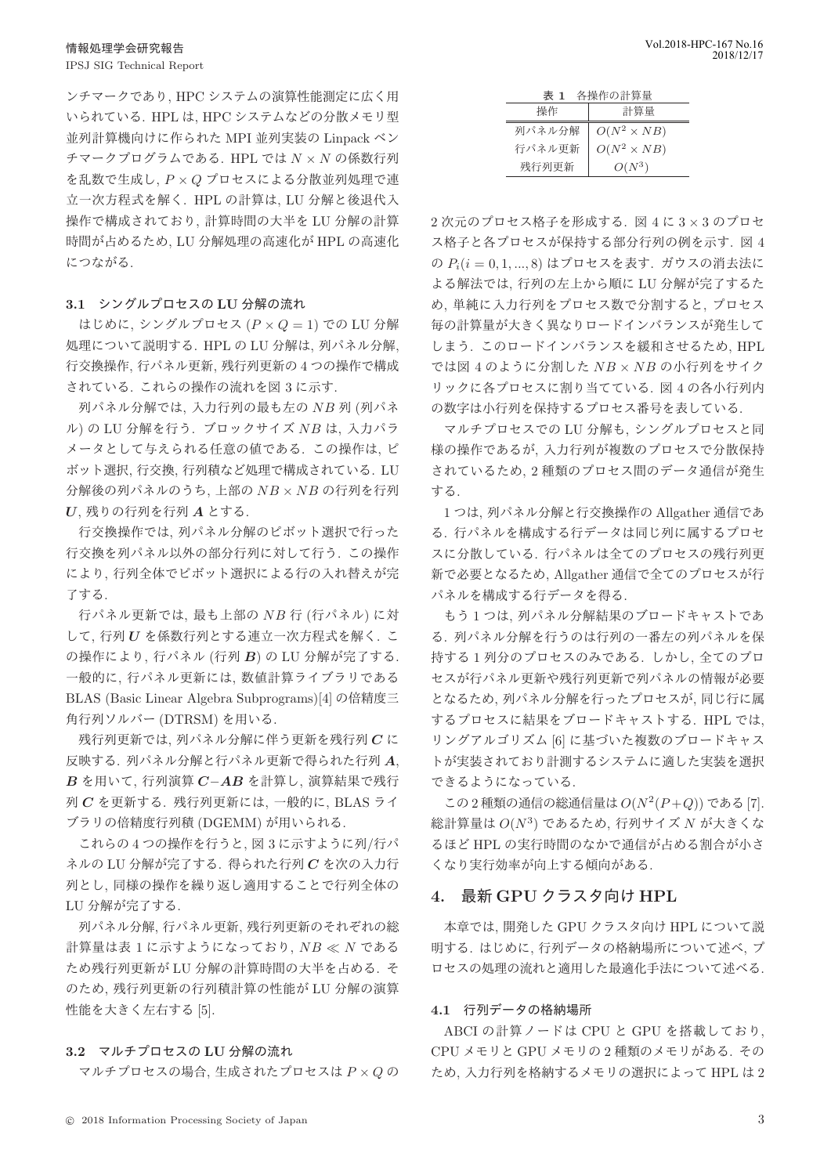ンチマークであり, HPC システムの演算性能測定に広く用 いられている. HPL は. HPC システムなどの分散メモリ型 並列計算機向けに作られた MPI 並列実装の Linpack ベン  $\tau$ マークプログラムである. HPL では  $N \times N$  の係数行列  $\&$ 乱数で生成し、 $P \times Q$  プロセスによる分散並列処理で連 立一次方程式を解く. HPL の計算は, LU 分解と後退代入 操作で構成されており、計算時間の大半を LU 分解の計算 時間が占めるため、LU 分解処理の高速化が HPL の高速化 につながる.

#### 3.1 シングルプロセスの LU 分解の流れ

はじめに、シングルプロセス  $(P \times Q = 1)$  での LU 分解 処理について説明する. HPL の LU 分解は、列パネル分解, 行交換操作、行パネル更新、残行列更新の4つの操作で構成 されている. これらの操作の流れを図 3 に示す.

列パネル分解では、入力行列の最も左の NB 列 (列パネ  $\nu$ ) の LU 分解を行う. ブロックサイズ NB は、入力パラ メータとして与えられる任意の値である。この操作は、ピ ボット選択. 行交換. 行列積など処理で構成されている. LU 分解後の列パネルのうち、上部の NB × NB の行列を行列  $U$ , 残りの行列を行列 A とする.

行交換操作では、列パネル分解のピボット選択で行った 行交換を列パネル以外の部分行列に対して行う. この操作 により、行列全体でピボット選択による行の入れ替えが完 了する.

行パネル更新では, 最も上部の NB 行 (行パネル) に対 して、行列 U を係数行列とする連立一次方程式を解く. こ の操作により、行パネル (行列 B) の LU 分解が完了する. 一般的に、行パネル更新には、数値計算ライブラリである BLAS (Basic Linear Algebra Subprograms)[4] の倍精度三 角行列ソルバー (DTRSM) を用いる.

残行列更新では、列パネル分解に伴う更新を残行列Cに 反映する. 列パネル分解と行パネル更新で得られた行列 A,  $B$  を用いて, 行列演算  $C-AB$  を計算し, 演算結果で残行  $\overline{\mathcal{D}}$   $C$  を更新する. 残行列更新には、一般的に、BLAS ライ ブラリの倍精度行列積 (DGEMM) が用いられる.

これらの4つの操作を行うと、図3に示すように列/行パ ネルの LU 分解が完了する. 得られた行列Cを次の入力行 列とし、同様の操作を繰り返し適用することで行列全体の LU 分解が完了する.

列パネル分解、行パネル更新、残行列更新のそれぞれの総 計算量は表 1 に示すようになっており,  $NB \ll N$  である ため残行列更新が LU 分解の計算時間の大半を占める. そ のため、残行列更新の行列積計算の性能が LU 分解の演算 性能を大きく左右する [5].

#### 3.2 マルチプロセスの LU 分解の流れ

マルチプロセスの場合、生成されたプロセスは  $P \times Q$ の

| 各操作の計算量<br>表 1 |                    |
|----------------|--------------------|
| 操作             | 計算量                |
| 列パネル分解         | $O(N^2 \times NB)$ |
| 行パネル更新         | $O(N^2 \times NB)$ |
| 残行列更新          | $O(N^3)$           |

 $2$ 次元のプロセス格子を形成する. 図 4 に  $3 \times 3$  のプロセ ス格子と各プロセスが保持する部分行列の例を示す. 図 4 の  $P_i(i = 0, 1, ..., 8)$  はプロセスを表す. ガウスの消去法に よる解法では、行列の左上から順に LU 分解が完了するた め、単純に入力行列をプロセス数で分割すると、プロセス 毎の計算量が大きく異なりロードインバランスが発生して しまう. このロードインバランスを緩和させるため、HPL では図 4のように分割した  $NB \times NB$ の小行列をサイク リックに各プロセスに割り当てている. 図 4の各小行列内 の数字は小行列を保持するプロセス番号を表している.

マルチプロセスでの LU 分解も、シングルプロセスと同 様の操作であるが、入力行列が複数のプロセスで分散保持 されているため、2 種類のプロセス間のデータ通信が発生 する

1つは、列パネル分解と行交換操作の Allgather 通信であ る. 行パネルを構成する行データは同じ列に属するプロセ スに分散している. 行パネルは全てのプロセスの残行列更 新で必要となるため、Allgather 通信で全てのプロセスが行 パネルを構成する行データを得る.

もう1つは、列パネル分解結果のブロードキャストであ る. 列パネル分解を行うのは行列の一番左の列パネルを保 持する1列分のプロセスのみである. しかし、全てのプロ セスが行パネル更新や残行列更新で列パネルの情報が必要 となるため、列パネル分解を行ったプロセスが、同じ行に属 するプロセスに結果をブロードキャストする. HPL では, リングアルゴリズム [6] に基づいた複数のブロードキャス トが実装されており計測するシステムに適した実装を選択 できるようになっている.

この2種類の通信の総通信量は $O(N^2(P+Q))$ である[7]. 総計算量は $O(N^3)$ であるため, 行列サイズ N が大きくな るほど HPL の実行時間のなかで通信が占める割合が小さ くなり実行効率が向上する傾向がある。

# $4.$  最新 GPU クラスタ向け HPL

本章では、開発した GPU クラスタ向け HPL について説 明する. はじめに、行列データの格納場所について述べ、プ ロセスの処理の流れと適用した最適化手法について述べる.

#### 4.1 行列データの格納場所

ABCI の計算ノードは CPU と GPU を搭載しており,  $CPU \times + 1 < GPU \times + 100$  2 種類のメモリがある. その ため、入力行列を格納するメモリの選択によって HPL は2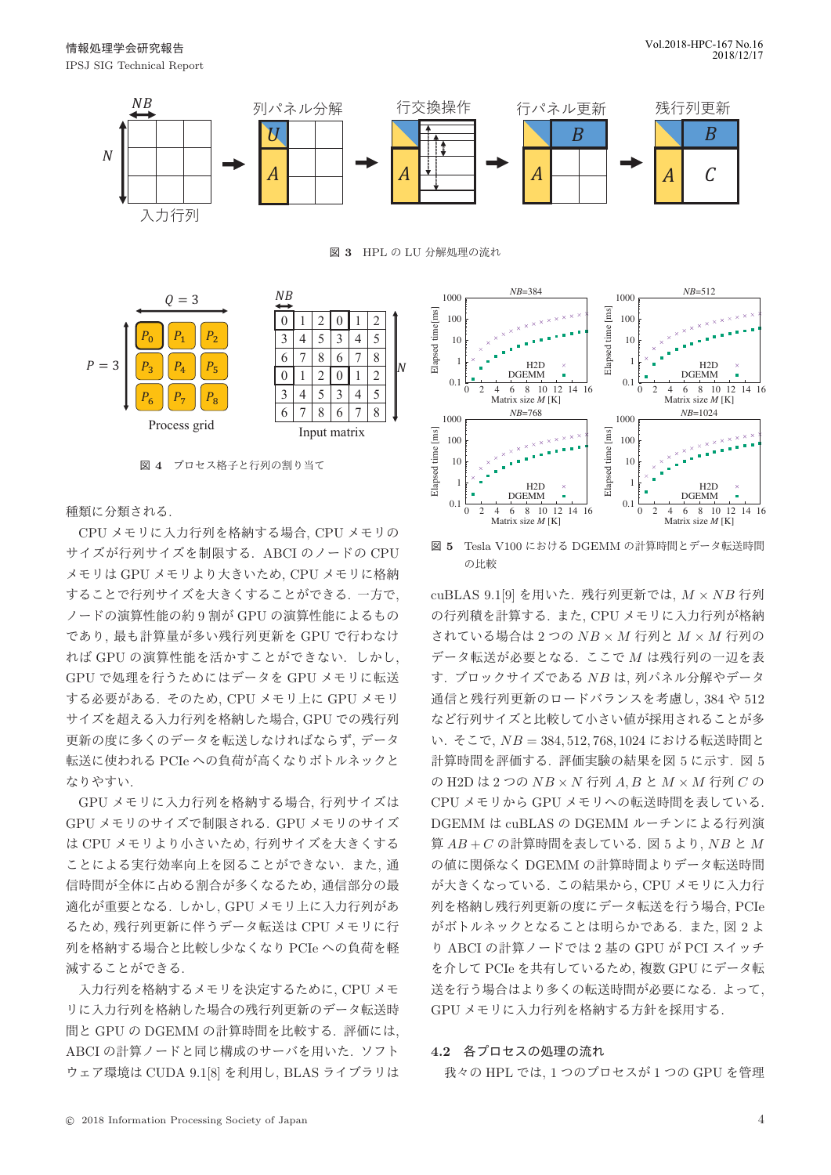

図 3 HPL の LU 分解処理の流れ





図 4 プロセス格子と行列の割り当て

# 種類に分類される.

CPU メモリに入力行列を格納する場合. CPU メモリの サイズが行列サイズを制限する. ABCI のノードの CPU メモリは GPU メモリより大きいため. CPU メモリに格納 することで行列サイズを大きくすることができる. 一方で、 ノードの演算性能の約9割が GPU の演算性能によるもの であり、最も計算量が多い残行列更新を GPU で行わなけ れば GPU の演算性能を活かすことができない. しかし, GPU で処理を行うためにはデータを GPU メモリに転送 する必要がある. そのため、CPU メモリ上に GPU メモリ サイズを超える入力行列を格納した場合. GPU での残行列 更新の度に多くのデータを転送しなければならず、データ 転送に使われる PCIe への負荷が高くなりボトルネックと なりやすい.

GPU メモリに入力行列を格納する場合、行列サイズは GPU メモリのサイズで制限される. GPU メモリのサイズ は CPU メモリより小さいため, 行列サイズを大きくする ことによる実行効率向上を図ることができない. また. 通 信時間が全体に占める割合が多くなるため、通信部分の最 適化が重要となる. しかし、GPU メモリ上に入力行列があ るため、残行列更新に伴うデータ転送は CPU メモリに行 列を格納する場合と比較し少なくなり PCIe への負荷を軽 減することができる.

入力行列を格納するメモリを決定するために、CPU メモ リに入力行列を格納した場合の残行列更新のデータ転送時 間と GPU の DGEMM の計算時間を比較する. 評価には, ABCI の計算ノードと同じ構成のサーバを用いた. ソフト ウェア環境は CUDA 9.1[8] を利用し, BLAS ライブラリは



図 5 Tesla V100 における DGEMM の計算時間とデータ転送時間 の比較

cuBLAS 9.1[9] を用いた. 残行列更新では、 $M \times NB$  行列 の行列積を計算する. また. CPU メモリに入力行列が格納 されている場合は2つの NB × M 行列と  $M \times M$  行列の  $\vec{r}$ ータ転送が必要となる。ここで  $M$ は残行列の一辺を表 す. ブロックサイズである NB は、列パネル分解やデータ 通信と残行列更新のロードバランスを考慮し、384 や 512 など行列サイズと比較して小さい値が採用されることが多 い. そこで,  $NB = 384, 512, 768, 1024$ における転送時間と 計算時間を評価する. 評価実験の結果を図5に示す. 図5 の H2D は2つの  $NB \times N$  行列  $A, B \geq M \times M$  行列  $C$  の CPU メモリから GPU メモリへの転送時間を表している. DGEMM は cuBLAS の DGEMM ルーチンによる行列演 算  $AB + C$  の計算時間を表している. 図 5 より, NB と  $M$ の値に関係なく DGEMM の計算時間よりデータ転送時間 が大きくなっている. この結果から、CPU メモリに入力行 列を格納し残行列更新の度にデータ転送を行う場合, PCIe がボトルネックとなることは明らかである. また、図2よ り ABCI の計算ノードでは2基の GPU が PCI スイッチ を介して PCIe を共有しているため、複数 GPU にデータ転 送を行う場合はより多くの転送時間が必要になる。 よって, GPU メモリに入力行列を格納する方針を採用する.

# 4.2 各プロセスの処理の流れ

我々の HPL では, 1 つのプロセスが 1 つの GPU を管理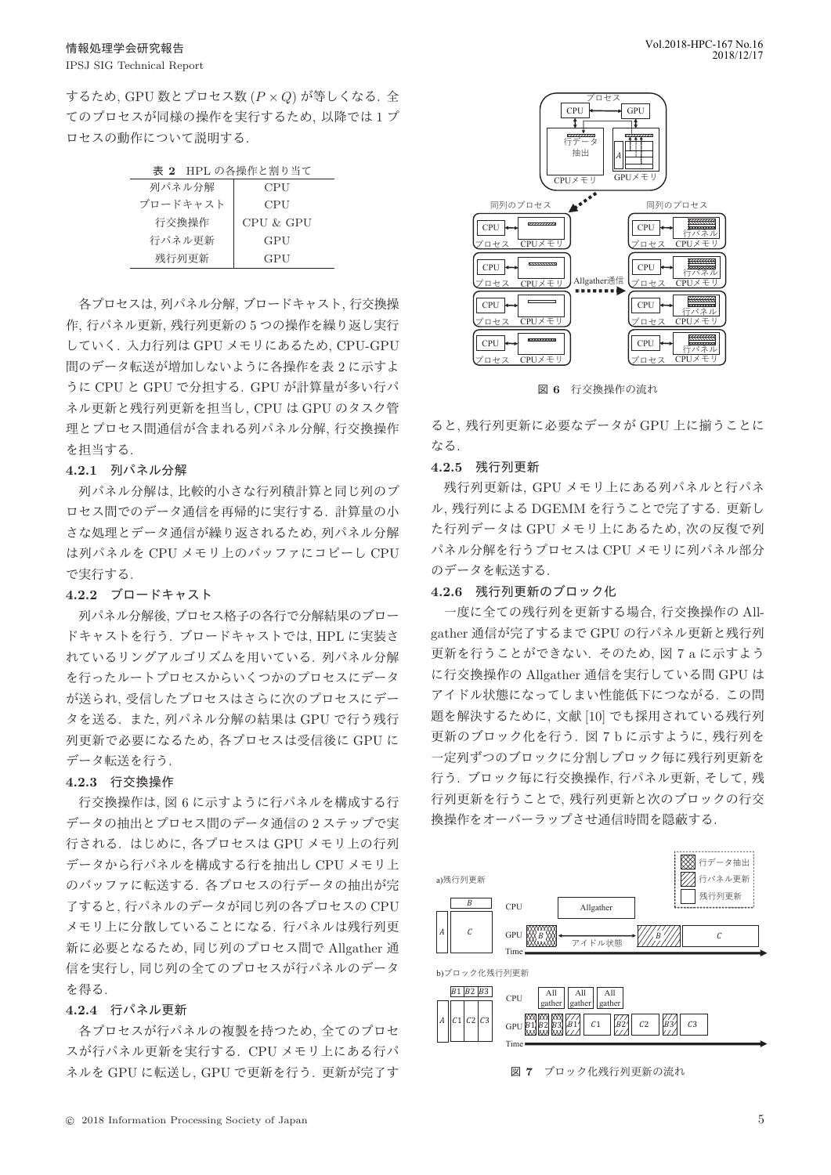するため, GPU 数とプロセス数  $(P \times Q)$  が等しくなる. 全 てのプロセスが同様の操作を実行するため、以降では1プ ロセスの動作について説明する。

| 表 2 HPL の各操作と割り当て |  |
|-------------------|--|
|-------------------|--|

| 列パネル分解   | CPU       |
|----------|-----------|
| ブロードキャスト | CPU       |
| 行交換操作    | CPU & GPU |
| 行パネル更新   | GPU       |
| 残行列更新    | GPU       |

各プロセスは, 列パネル分解, ブロードキャスト, 行交換操 作, 行パネル更新, 残行列更新の5つの操作を繰り返し実行 していく. 入力行列は GPU メモリにあるため、CPU-GPU 間のデータ転送が増加しないように各操作を表2に示すよ うに CPU と GPU で分担する. GPU が計算量が多い行パ ネル更新と残行列更新を担当し、CPU は GPU のタスク管 理とプロセス間通信が含まれる列パネル分解, 行交換操作 を担当する.

#### 4.2.1 列パネル分解

列パネル分解は、比較的小さな行列積計算と同じ列のプ ロセス間でのデータ通信を再帰的に実行する. 計算量の小 さな処理とデータ通信が繰り返されるため、列パネル分解 は列パネルを CPU メモリ上のバッファにコピーし CPU で実行する.

# 4.2.2 ブロードキャスト

列パネル分解後、プロセス格子の各行で分解結果のブロー ドキャストを行う. ブロードキャストでは, HPL に実装さ れているリングアルゴリズムを用いている. 列パネル分解 を行ったルートプロセスからいくつかのプロセスにデータ が送られ、受信したプロセスはさらに次のプロセスにデー タを送る. また、列パネル分解の結果は GPU で行う残行 列更新で必要になるため、各プロセスは受信後に GPU に データ転送を行う.

# 4.2.3 行交換操作

行交換操作は、図6に示すように行パネルを構成する行 データの抽出とプロセス間のデータ通信の2ステップで実 行される. はじめに、各プロセスは GPU メモリ上の行列 データから行パネルを構成する行を抽出し CPU メモリ上 のバッファに転送する. 各プロセスの行データの抽出が完 了すると、行パネルのデータが同じ列の各プロセスの CPU メモリ上に分散していることになる. 行パネルは残行列更 新に必要となるため、同じ列のプロセス間で Allgather 通 信を実行し、同じ列の全てのプロセスが行パネルのデータ  $k$ 得る.

# 4.2.4 行パネル更新

各プロセスが行パネルの複製を持つため、全てのプロセ スが行パネル更新を実行する. CPU メモリ上にある行パ ネルを GPU に転送し、GPU で更新を行う. 更新が完了す



图 6 行交換操作の流れ

ると、残行列更新に必要なデータが GPU 上に揃うことに なる.

# 4.2.5 残行列更新

残行列更新は、GPU メモリ上にある列パネルと行パネ ル, 残行列による DGEMM を行うことで完了する. 更新し た行列データは GPU メモリ上にあるため、次の反復で列 パネル分解を行うプロセスは CPU メモリに列パネル部分 のデータを転送する.

# 4.2.6 残行列更新のブロック化

一度に全ての残行列を更新する場合, 行交換操作の Allgather 通信が完了するまで GPU の行パネル更新と残行列 更新を行うことができない. そのため. 図 7 a に示すよう に行交換操作の Allgather 通信を実行している間 GPU は アイドル状態になってしまい性能低下につながる. この間 題を解決するために、文献 [10] でも採用されている残行列 更新のブロック化を行う. 図7bに示すように、残行列を 一定列ずつのブロックに分割しブロック毎に残行列更新を 行う. ブロック毎に行交換操作, 行パネル更新, そして, 残 行列更新を行うことで、残行列更新と次のブロックの行交 換操作をオーバーラップさせ通信時間を隠蔽する.



図 7 ブロック化残行列更新の流れ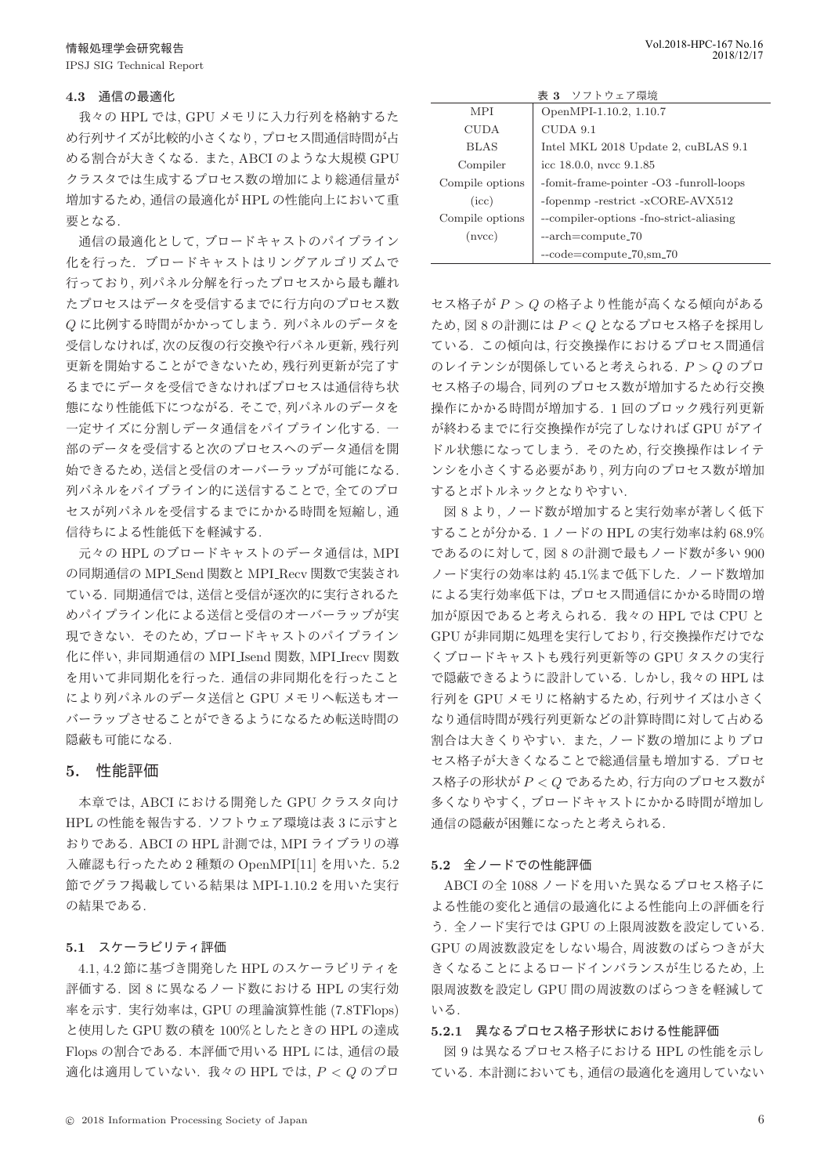#### **4.3 通信の最適化**

我々の HPL では、GPU メモリに入力行列を格納するた め行列サイズが比較的小さくなり、プロセス間通信時間が占 める割合が大きくなる. また、ABCI のような大規模 GPU クラスタでは生成するプロセス数の増加により総通信量が 増加するため、通信の最適化が HPL の性能向上において重 要となる.

通信の最適化として、ブロードキャストのパイプライン 化を行った. ブロードキャストはリングアルゴリズムで 行っており、列パネル分解を行ったプロセスから最も離れ たプロセスはデータを受信するまでに行方向のプロセス数  $Q$ に比例する時間がかかってしまう. 列パネルのデータを 受信しなければ、次の反復の行交換や行パネル更新、残行列 更新を開始することができないため、残行列更新が完了す るまでにデータを受信できなければプロセスは通信待ち状 熊になり性能低下につながる. そこで. 列パネルのデータを 一定サイズに分割しデータ通信をパイプライン化する. 一 部のデータを受信すると次のプロセスへのデータ通信を開 始できるため、送信と受信のオーバーラップが可能になる. 列パネルをパイプライン的に送信することで、全てのプロ セスが列パネルを受信するまでにかかる時間を短縮し、通 信待ちによる性能低下を軽減する.

元々の HPL のブロードキャストのデータ通信は, MPI の同期通信の MPI\_Send 関数と MPI\_Recv 関数で実装され ている. 同期通信では、送信と受信が逐次的に実行されるた めパイプライン化による送信と受信のオーバーラップが実 現できない. そのため、ブロードキャストのパイプライン 化に伴い. 非同期通信の MPI Isend 関数. MPI Irecv 関数 を用いて非同期化を行った. 通信の非同期化を行ったこと により列パネルのデータ送信と GPU メモリへ転送もオー バーラップさせることができるようになるため転送時間の 隠蔽も可能になる.

# 5. 性能評価

本章では、ABCI における開発した GPU クラスタ向け HPL の性能を報告する. ソフトウェア環境は表3に示すと おりである. ABCI の HPL 計測では, MPI ライブラリの導 入確認も行ったため2種類の OpenMPI[11] を用いた. 5.2 節でグラフ掲載している結果は MPI-1.10.2 を用いた実行 の結果である.

# 5.1 スケーラビリティ評価

4.1, 4.2 節に基づき開発した HPL のスケーラビリティを 評価する. 図 8 に異なるノード数における HPL の実行効 率を示す. 実行効率は, GPU の理論演算性能 (7.8TFlops) と使用した GPU 数の積を 100%としたときの HPL の達成 Flops の割合である. 本評価で用いる HPL には、通信の最 適化は適用していない. 我々の HPL では,  $P < Q$  のプロ

| 表 3 ソフトウェア環境    |                                         |  |
|-----------------|-----------------------------------------|--|
| <b>MPI</b>      | OpenMPI-1.10.2, 1.10.7                  |  |
| <b>CUDA</b>     | $CUDA$ 9.1                              |  |
| <b>BLAS</b>     | Intel MKL 2018 Update 2, cuBLAS 9.1     |  |
| Compiler        | icc $18.0.0$ , nvcc $9.1.85$            |  |
| Compile options | -fomit-frame-pointer -O3 -funroll-loops |  |
| (icc)           | -fopenmp -restrict -xCORE-AVX512        |  |
| Compile options | --compiler-options -fno-strict-aliasing |  |
| (nvec)          | $-arch = compute_70$                    |  |
|                 | $-code=compute_70, sm_70$               |  |

セス格子が  $P > Q$  の格子より性能が高くなる傾向がある ため、図 8 の計測には  $P < Q$  となるプロセス格子を採用し ている. この傾向は、行交換操作におけるプロセス間通信 のレイテンシが関係していると考えられる.  $P > Q$  のプロ セス格子の場合, 同列のプロセス数が増加するため行交換 操作にかかる時間が増加する. 1回のブロック残行列更新 が終わるまでに行交換操作が完了しなければ GPU がアイ ドル状態になってしまう. そのため、行交換操作はレイテ ンシを小さくする必要があり、列方向のプロセス数が増加 するとボトルネックとなりやすい.

図 8 より、ノード数が増加すると実行効率が著しく低下 することが分かる. 1 ノードの HPL の実行効率は約 68.9% であるのに対して、図8の計測で最もノード数が多い 900 ノード実行の効率は約 45.1%まで低下した. ノード数増加 による実行効率低下は、プロセス間通信にかかる時間の増 加が原因であると考えられる. 我々の HPL では CPU と GPUが非同期に処理を実行しており、行交換操作だけでな くブロードキャストも残行列更新等の GPU タスクの実行 で隠蔽できるように設計している. しかし、我々の HPL は 行列を GPU メモリに格納するため、行列サイズは小さく なり通信時間が残行列更新などの計算時間に対して占める 割合は大きくりやすい. また、ノード数の増加によりプロ セス格子が大きくなることで総通信量も増加する. プロセ ス格子の形状が  $P < Q$  であるため、行方向のプロセス数が 多くなりやすく、ブロードキャストにかかる時間が増加し 通信の隠蔽が困難になったと考えられる.

#### 5.2 全ノードでの性能評価

ABCI の全 1088 ノードを用いた異なるプロセス格子に よる性能の変化と通信の最適化による性能向上の評価を行 う. 全ノード実行では GPU の上限周波数を設定している. GPU の周波数設定をしない場合, 周波数のばらつきが大 きくなることによるロードインバランスが生じるため、上 限周波数を設定し GPU 間の周波数のばらつきを軽減して ιΩ.

#### 5.2.1 異なるプロセス格子形状における性能評価

図 9 は異なるプロセス格子における HPL の性能を示し ている. 本計測においても、通信の最適化を適用していない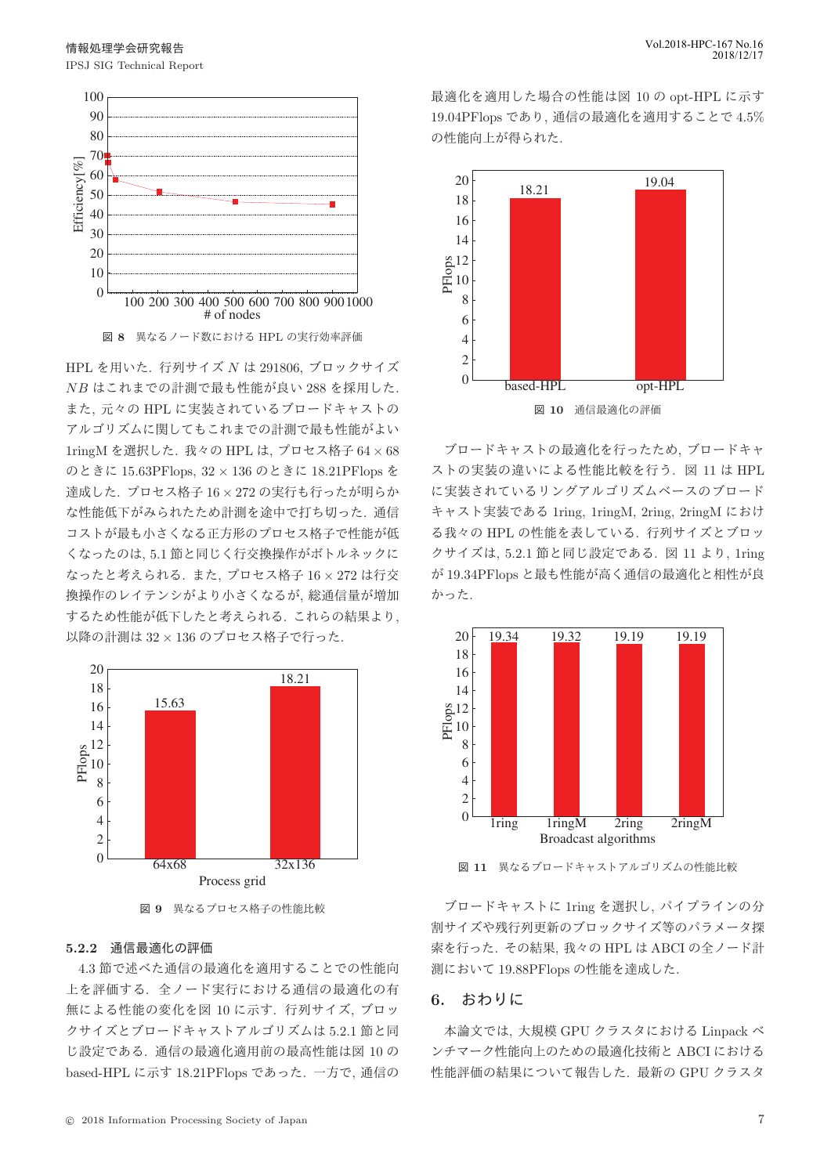

HPL を用いた. 行列サイズ  $N$  は 291806, ブロックサイズ  $NB$ はこれまでの計測で最も性能が良い 288 を採用した. また. 元々の HPL に実装されているブロードキャストの アルゴリズムに関してもこれまでの計測で最も性能がよい 1ringM を選択した. 我々の HPL は、プロセス格子 64 × 68  $O$ ときに 15.63PFlops,  $32 \times 136$  のときに 18.21PFlops を 達成した. プロセス格子 16 × 272 の実行も行ったが明らか な性能低下がみられたため計測を途中で打ち切った. 通信 コストが最も小さくなる正方形のプロセス格子で性能が低 くなったのは, 5.1 節と同じく行交換操作がボトルネックに なったと考えられる. また、プロセス格子 16 × 272 は行交 換操作のレイテンシがより小さくなるが、総通信量が増加 するため性能が低下したと考えられる. これらの結果より, 以降の計測は 32 × 136 のプロセス格子で行った.





# 5.2.2 通信最適化の評価

4.3 節で述べた通信の最適化を適用することでの性能向 上を評価する。全ノード実行における通信の最適化の有 無による性能の変化を図 10 に示す. 行列サイズ、ブロッ クサイズとブロードキャストアルゴリズムは5.2.1 節と同 じ設定である。通信の最適化適用前の最高性能は図 10の based-HPL に示す 18.21PFlops であった. 一方で、通信の 最適化を適用した場合の性能は図 10 の opt-HPL に示す 19.04PFlops であり, 通信の最適化を適用することで 4.5% の性能向上が得られた.



ブロードキャストの最適化を行ったため、ブロードキャ ストの実装の違いによる性能比較を行う. 図 11 は HPL に実装されているリングアルゴリズムベースのブロード キャスト実装である 1ring, 1ringM, 2ring, 2ringM におけ る我々の HPL の性能を表している. 行列サイズとブロッ クサイズは, 5.2.1 節と同じ設定である. 図 11 より, 1ring が 19.34PFlops と最も性能が高く通信の最適化と相性が良 かった.



図 11 異なるブロードキャストアルゴリズムの性能比較

ブロードキャストに 1ring を選択し、パイプラインの分 割サイズや残行列更新のブロックサイズ等のパラメータ探 索を行った. その結果, 我々の HPL は ABCI の全ノード計 測において 19.88PFlops の性能を達成した.

# **6.** おわりに

本論文では、大規模 GPU クラスタにおける Linpack ベ ンチマーク性能向上のための最適化技術と ABCI における 性能評価の結果について報告した. 最新の GPU クラスタ